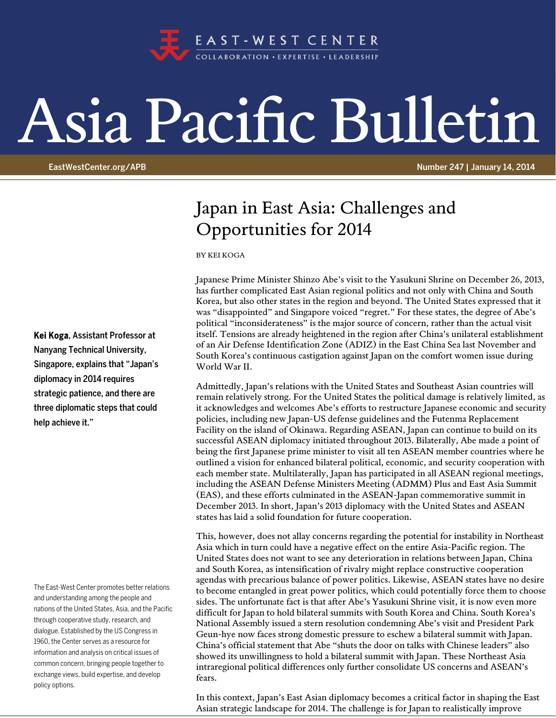

## Asia Pacific Bulletin

EastWestCenter.org/APB **Number 247 | January 14, 2014** 

## Japan in East Asia: Challenges and Opportunities for 2014

BY KEI KOGA

Japanese Prime Minister Shinzo Abe's visit to the Yasukuni Shrine on December 26, 2013, has further complicated East Asian regional politics and not only with China and South Korea, but also other states in the region and beyond. The United States expressed that it was "disappointed" and Singapore voiced "regret." For these states, the degree of Abe's political "inconsiderateness" is the major source of concern, rather than the actual visit itself. Tensions are already heightened in the region after China's unilateral establishment of an Air Defense Identification Zone (ADIZ) in the East China Sea last November and South Korea's continuous castigation against Japan on the comfort women issue during World War II.

Admittedly, Japan's relations with the United States and Southeast Asian countries will remain relatively strong. For the United States the political damage is relatively limited, as it acknowledges and welcomes Abe's efforts to restructure Japanese economic and security policies, including new Japan-US defense guidelines and the Futenma Replacement Facility on the island of Okinawa. Regarding ASEAN, Japan can continue to build on its successful ASEAN diplomacy initiated throughout 2013. Bilaterally, Abe made a point of being the first Japanese prime minister to visit all ten ASEAN member countries where he outlined a vision for enhanced bilateral political, economic, and security cooperation with each member state. Multilaterally, Japan has participated in all ASEAN regional meetings, including the ASEAN Defense Ministers Meeting (ADMM) Plus and East Asia Summit (EAS), and these efforts culminated in the ASEAN-Japan commemorative summit in December 2013. In short, Japan's 2013 diplomacy with the United States and ASEAN states has laid a solid foundation for future cooperation.

This, however, does not allay concerns regarding the potential for instability in Northeast Asia which in turn could have a negative effect on the entire Asia-Pacific region. The United States does not want to see any deterioration in relations between Japan, China and South Korea, as intensification of rivalry might replace constructive cooperation agendas with precarious balance of power politics. Likewise, ASEAN states have no desire to become entangled in great power politics, which could potentially force them to choose sides. The unfortunate fact is that after Abe's Yasukuni Shrine visit, it is now even more difficult for Japan to hold bilateral summits with South Korea and China. South Korea's National Assembly issued a stern resolution condemning Abe's visit and President Park Geun-hye now faces strong domestic pressure to eschew a bilateral summit with Japan. China's official statement that Abe "shuts the door on talks with Chinese leaders" also showed its unwillingness to hold a bilateral summit with Japan. These Northeast Asia intraregional political differences only further consolidate US concerns and ASEAN's fears.

In this context, Japan's East Asian diplomacy becomes a critical factor in shaping the East Asian strategic landscape for 2014. The challenge is for Japan to realistically improve

Kei Koga, Assistant Professor at Nanyang Technical University, Singapore, explains that "Japan's diplomacy in 2014 requires strategic patience, and there are three diplomatic steps that could help achieve it."

The East-West Center promotes better relations and understanding among the people and nations of the United States, Asia, and the Pacific through cooperative study, research, and dialogue. Established by the US Congress in 1960, the Center serves as a resource for information and analysis on critical issues of common concern, bringing people together to exchange views, build expertise, and develop policy options.